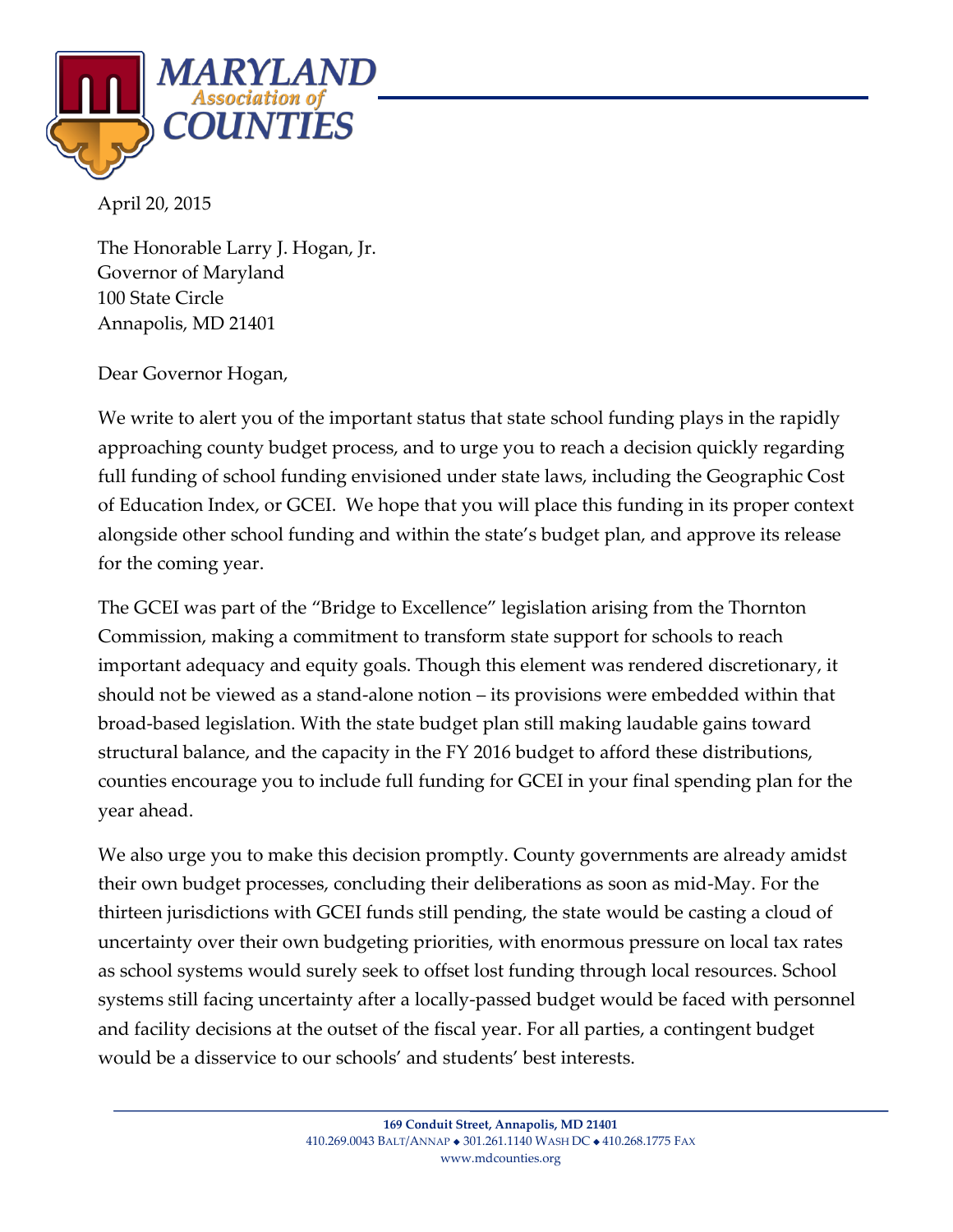

April 20, 2015

The Honorable Larry J. Hogan, Jr. Governor of Maryland 100 State Circle Annapolis, MD 21401

Dear Governor Hogan,

We write to alert you of the important status that state school funding plays in the rapidly approaching county budget process, and to urge you to reach a decision quickly regarding full funding of school funding envisioned under state laws, including the Geographic Cost of Education Index, or GCEI. We hope that you will place this funding in its proper context alongside other school funding and within the state's budget plan, and approve its release for the coming year.

The GCEI was part of the "Bridge to Excellence" legislation arising from the Thornton Commission, making a commitment to transform state support for schools to reach important adequacy and equity goals. Though this element was rendered discretionary, it should not be viewed as a stand-alone notion – its provisions were embedded within that broad-based legislation. With the state budget plan still making laudable gains toward structural balance, and the capacity in the FY 2016 budget to afford these distributions, counties encourage you to include full funding for GCEI in your final spending plan for the year ahead.

We also urge you to make this decision promptly. County governments are already amidst their own budget processes, concluding their deliberations as soon as mid-May. For the thirteen jurisdictions with GCEI funds still pending, the state would be casting a cloud of uncertainty over their own budgeting priorities, with enormous pressure on local tax rates as school systems would surely seek to offset lost funding through local resources. School systems still facing uncertainty after a locally-passed budget would be faced with personnel and facility decisions at the outset of the fiscal year. For all parties, a contingent budget would be a disservice to our schools' and students' best interests.